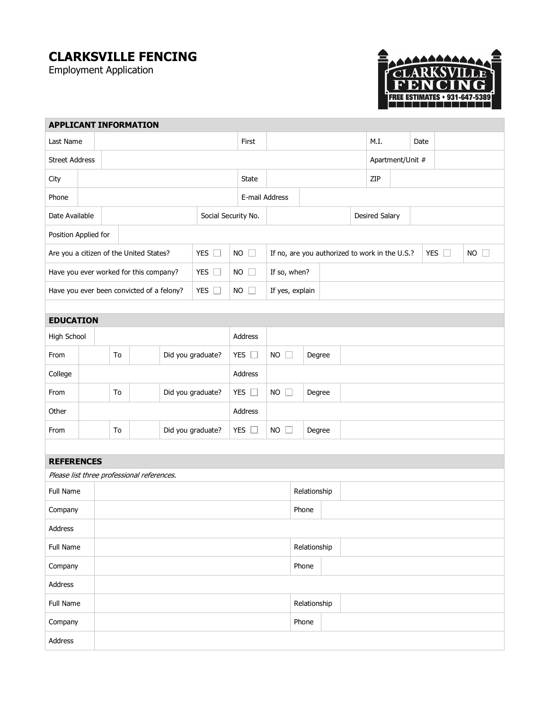## **CLARKSVILLE FENCING**

Employment Application



| <b>APPLICANT INFORMATION</b>                               |                         |  |  |                                            |                       |                                                |                 |              |  |                       |  |               |             |  |  |  |  |  |
|------------------------------------------------------------|-------------------------|--|--|--------------------------------------------|-----------------------|------------------------------------------------|-----------------|--------------|--|-----------------------|--|---------------|-------------|--|--|--|--|--|
| Last Name                                                  |                         |  |  | First                                      |                       |                                                |                 | M.I.         |  | Date                  |  |               |             |  |  |  |  |  |
| <b>Street Address</b>                                      |                         |  |  |                                            |                       |                                                |                 |              |  | Apartment/Unit #      |  |               |             |  |  |  |  |  |
| City                                                       |                         |  |  |                                            |                       | State                                          |                 |              |  | ZIP                   |  |               |             |  |  |  |  |  |
| Phone                                                      |                         |  |  |                                            | E-mail Address        |                                                |                 |              |  |                       |  |               |             |  |  |  |  |  |
| Date Available<br>Social Security No.                      |                         |  |  |                                            |                       |                                                |                 |              |  | <b>Desired Salary</b> |  |               |             |  |  |  |  |  |
| Position Applied for                                       |                         |  |  |                                            |                       |                                                |                 |              |  |                       |  |               |             |  |  |  |  |  |
| YES $\square$<br>Are you a citizen of the United States?   |                         |  |  |                                            | $NO$ $\Box$           | If no, are you authorized to work in the U.S.? |                 |              |  |                       |  | YES $\square$ | $NO$ $\Box$ |  |  |  |  |  |
| YES $\square$<br>Have you ever worked for this company?    |                         |  |  |                                            | $NO$ $\Box$           | If so, when?                                   |                 |              |  |                       |  |               |             |  |  |  |  |  |
| YES $\square$<br>Have you ever been convicted of a felony? |                         |  |  |                                            |                       | $NO$ $\Box$                                    | If yes, explain |              |  |                       |  |               |             |  |  |  |  |  |
|                                                            |                         |  |  |                                            |                       |                                                |                 |              |  |                       |  |               |             |  |  |  |  |  |
| <b>EDUCATION</b>                                           |                         |  |  |                                            |                       |                                                |                 |              |  |                       |  |               |             |  |  |  |  |  |
| High School                                                |                         |  |  |                                            |                       |                                                |                 | Address      |  |                       |  |               |             |  |  |  |  |  |
| From                                                       | Did you graduate?<br>To |  |  | YES $\square$                              | $NO$ $\Box$<br>Degree |                                                |                 |              |  |                       |  |               |             |  |  |  |  |  |
| College                                                    |                         |  |  |                                            |                       |                                                |                 | Address      |  |                       |  |               |             |  |  |  |  |  |
| From                                                       | To<br>Did you graduate? |  |  |                                            | YES $\square$         | <b>NO</b><br>$\Box$<br>Degree                  |                 |              |  |                       |  |               |             |  |  |  |  |  |
| Other                                                      |                         |  |  | Address                                    |                       |                                                |                 |              |  |                       |  |               |             |  |  |  |  |  |
| From                                                       | Did you graduate?<br>To |  |  | YES $\square$                              | <b>NO</b><br>$\Box$   |                                                | Degree          |              |  |                       |  |               |             |  |  |  |  |  |
|                                                            |                         |  |  |                                            |                       |                                                |                 |              |  |                       |  |               |             |  |  |  |  |  |
| <b>REFERENCES</b>                                          |                         |  |  |                                            |                       |                                                |                 |              |  |                       |  |               |             |  |  |  |  |  |
|                                                            |                         |  |  | Please list three professional references. |                       |                                                |                 |              |  |                       |  |               |             |  |  |  |  |  |
| Full Name                                                  |                         |  |  |                                            |                       |                                                | Relationship    |              |  |                       |  |               |             |  |  |  |  |  |
| Company                                                    |                         |  |  |                                            |                       | Phone                                          |                 |              |  |                       |  |               |             |  |  |  |  |  |
| Address                                                    |                         |  |  |                                            |                       |                                                |                 |              |  |                       |  |               |             |  |  |  |  |  |
| Full Name                                                  |                         |  |  |                                            |                       |                                                | Relationship    |              |  |                       |  |               |             |  |  |  |  |  |
| Company                                                    |                         |  |  |                                            |                       |                                                |                 | Phone        |  |                       |  |               |             |  |  |  |  |  |
| Address                                                    |                         |  |  |                                            |                       |                                                |                 |              |  |                       |  |               |             |  |  |  |  |  |
| Full Name                                                  |                         |  |  |                                            |                       |                                                |                 | Relationship |  |                       |  |               |             |  |  |  |  |  |
| Company                                                    |                         |  |  |                                            |                       | Phone                                          |                 |              |  |                       |  |               |             |  |  |  |  |  |
| Address                                                    |                         |  |  |                                            |                       |                                                |                 |              |  |                       |  |               |             |  |  |  |  |  |